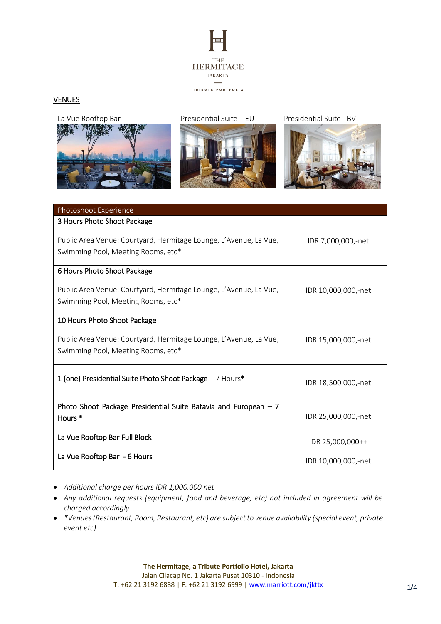

# **VENUES**



La Vue Rooftop Bar Presidential Suite – EU Presidential Suite - BV





| Photoshoot Experience                                                                                   |                     |
|---------------------------------------------------------------------------------------------------------|---------------------|
| 3 Hours Photo Shoot Package                                                                             |                     |
| Public Area Venue: Courtyard, Hermitage Lounge, L'Avenue, La Vue,<br>Swimming Pool, Meeting Rooms, etc* | IDR 7,000,000,-net  |
| 6 Hours Photo Shoot Package                                                                             |                     |
| Public Area Venue: Courtyard, Hermitage Lounge, L'Avenue, La Vue,<br>Swimming Pool, Meeting Rooms, etc* | IDR 10,000,000,-net |
| 10 Hours Photo Shoot Package                                                                            |                     |
| Public Area Venue: Courtyard, Hermitage Lounge, L'Avenue, La Vue,<br>Swimming Pool, Meeting Rooms, etc* | IDR 15,000,000,-net |
| 1 (one) Presidential Suite Photo Shoot Package - 7 Hours*                                               | IDR 18,500,000,-net |
| Photo Shoot Package Presidential Suite Batavia and European $-7$<br>Hours <sup>*</sup>                  | IDR 25,000,000,-net |
| La Vue Rooftop Bar Full Block                                                                           | IDR 25,000,000++    |
| La Vue Rooftop Bar - 6 Hours                                                                            | IDR 10,000,000,-net |

- *Additional charge per hours IDR 1,000,000 net*
- *Any additional requests (equipment, food and beverage, etc) not included in agreement will be charged accordingly.*
- *\*Venues (Restaurant, Room, Restaurant, etc) are subject to venue availability (special event, private event etc)*